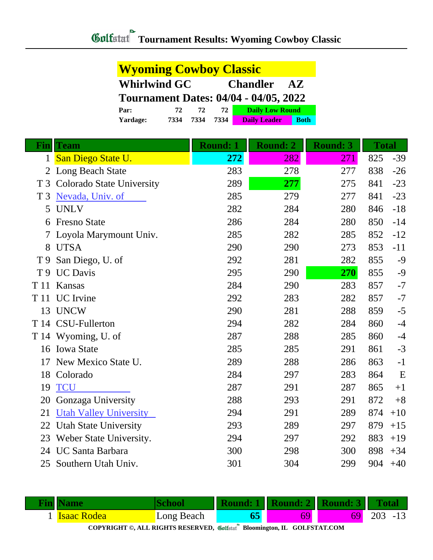| <b>Wyoming Cowboy Classic</b>                |      |      |      |                                            |             |  |  |  |
|----------------------------------------------|------|------|------|--------------------------------------------|-------------|--|--|--|
| <b>Whirlwind GC</b>                          |      |      |      | <b>Chandler</b><br>$\mathbf{A} \mathbf{Z}$ |             |  |  |  |
| <b>Tournament Dates: 04/04 - 04/05, 2022</b> |      |      |      |                                            |             |  |  |  |
| Par:                                         | 72   | 72   | 72   | <b>Daily Low Round</b>                     |             |  |  |  |
| Yardage:                                     | 7334 | 7334 | 7334 | <b>Daily Leader</b>                        | <b>Both</b> |  |  |  |

| Fin            | <b>Team</b>                      | <b>Round: 1</b> | <b>Round: 2</b> | <b>Round: 3</b> | <b>Total</b> |       |
|----------------|----------------------------------|-----------------|-----------------|-----------------|--------------|-------|
| $\mathbf{1}$   | San Diego State U.               | 272             | 282             | 271             | 825          | $-39$ |
|                | 2 Long Beach State               | 283             | 278             | 277             | 838          | $-26$ |
| T <sub>3</sub> | <b>Colorado State University</b> | 289             | 277             | 275             | 841          | $-23$ |
| T <sub>3</sub> | Nevada, Univ. of                 | 285             | 279             | 277             | 841          | $-23$ |
| 5              | <b>UNLV</b>                      | 282             | 284             | 280             | 846          | $-18$ |
| 6              | <b>Fresno State</b>              | 286             | 284             | 280             | 850          | $-14$ |
|                | Loyola Marymount Univ.           | 285             | 282             | 285             | 852          | $-12$ |
| 8              | <b>UTSA</b>                      | 290             | 290             | 273             | 853          | $-11$ |
| T <sub>9</sub> | San Diego, U. of                 | 292             | 281             | 282             | 855          | $-9$  |
|                | T 9 UC Davis                     | 295             | 290             | 270             | 855          | $-9$  |
|                | T 11 Kansas                      | 284             | 290             | 283             | 857          | $-7$  |
|                | T 11 UC Irvine                   | 292             | 283             | 282             | 857          | $-7$  |
| 13             | <b>UNCW</b>                      | 290             | 281             | 288             | 859          | $-5$  |
|                | T 14 CSU-Fullerton               | 294             | 282             | 284             | 860          | $-4$  |
|                | T 14 Wyoming, U. of              | 287             | 288             | 285             | 860          | $-4$  |
|                | 16 Iowa State                    | 285             | 285             | 291             | 861          | $-3$  |
| 17             | New Mexico State U.              | 289             | 288             | 286             | 863          | $-1$  |
| 18             | Colorado                         | 284             | 297             | 283             | 864          | E     |
| 19             | <b>TCU</b>                       | 287             | 291             | 287             | 865          | $+1$  |
| 20             | Gonzaga University               | 288             | 293             | 291             | 872          | $+8$  |
| 21             | <b>Utah Valley University</b>    | 294             | 291             | 289             | 874          | $+10$ |
| 22             | <b>Utah State University</b>     | 293             | 289             | 297             | 879          | $+15$ |
| 23             | Weber State University.          | 294             | 297             | 292             | 883          | $+19$ |
| 24             | <b>UC Santa Barbara</b>          | 300             | 298             | 300             | 898          | $+34$ |
| 25             | Southern Utah Univ.              | 301             | 304             | 299             | 904          | $+40$ |

|                                                                          | <b>Fin</b> Name    |            |  | <b>Round: 1   Round: 2   Round: 3   Total  </b> |     |            |  |
|--------------------------------------------------------------------------|--------------------|------------|--|-------------------------------------------------|-----|------------|--|
|                                                                          | <b>Isaac Rodea</b> | Long Beach |  | 69                                              | 691 | $203 - 13$ |  |
| COPYRIGHT ©, ALL RIGHTS RESERVED, Collected Bloomington, IL GOLFSTAT.COM |                    |            |  |                                                 |     |            |  |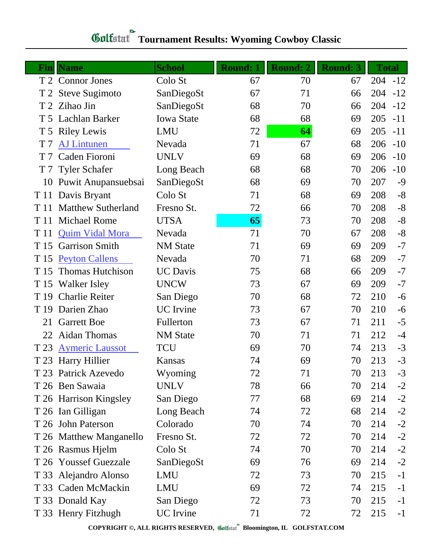## **Gulfatat Tournament Results: Wyoming Cowboy Classic**

|                | <b>Fin</b>   Name         | <b>School</b>     | <b>Round: 1</b> | <b>Round: 2</b> | <b>Round: 3</b> | <b>Total</b> |       |
|----------------|---------------------------|-------------------|-----------------|-----------------|-----------------|--------------|-------|
|                | T 2 Connor Jones          | Colo St           | 67              | 70              | 67              | $204 - 12$   |       |
|                | T 2 Steve Sugimoto        | SanDiegoSt        | 67              | 71              | 66              | 204          | $-12$ |
|                | T 2 Zihao Jin             | SanDiegoSt        | 68              | 70              | 66              | 204          | $-12$ |
|                | T 5 Lachlan Barker        | <b>Iowa State</b> | 68              | 68              | 69              | 205          | $-11$ |
|                | T 5 Riley Lewis           | LMU               | 72              | $\overline{64}$ | 69              | 205          | $-11$ |
| T <sub>7</sub> | <b>AJ Lintunen</b>        | Nevada            | 71              | 67              | 68              | 206          | $-10$ |
| T <sub>7</sub> | Caden Fioroni             | <b>UNLV</b>       | 69              | 68              | 69              | 206          | $-10$ |
| T <sub>7</sub> | <b>Tyler Schafer</b>      | Long Beach        | 68              | 68              | 70              | 206          | $-10$ |
| 10             | Puwit Anupansuebsai       | SanDiegoSt        | 68              | 69              | 70              | 207          | $-9$  |
| T 11           | Davis Bryant              | Colo St           | 71              | 68              | 69              | 208          | $-8$  |
| T 11           | <b>Matthew Sutherland</b> | Fresno St.        | 72              | 66              | 70              | 208          | $-8$  |
| T 11           | <b>Michael Rome</b>       | <b>UTSA</b>       | 65              | 73              | 70              | 208          | $-8$  |
| T 11           | <b>Quim Vidal Mora</b>    | Nevada            | 71              | 70              | 67              | 208          | $-8$  |
| T 15           | <b>Garrison Smith</b>     | <b>NM</b> State   | 71              | 69              | 69              | 209          | $-7$  |
| T 15           | <b>Peyton Callens</b>     | Nevada            | 70              | 71              | 68              | 209          | $-7$  |
| T 15           | <b>Thomas Hutchison</b>   | <b>UC</b> Davis   | 75              | 68              | 66              | 209          | $-7$  |
|                | T 15 Walker Isley         | <b>UNCW</b>       | 73              | 67              | 69              | 209          | $-7$  |
| T 19           | <b>Charlie Reiter</b>     | San Diego         | 70              | 68              | 72              | 210          | $-6$  |
| T 19           | Darien Zhao               | <b>UC</b> Irvine  | 73              | 67              | 70              | 210          | $-6$  |
| 21             | <b>Garrett Boe</b>        | Fullerton         | 73              | 67              | 71              | 211          | $-5$  |
| 22             | <b>Aidan Thomas</b>       | <b>NM</b> State   | 70              | 71              | 71              | 212          | $-4$  |
| T 23           | <b>Aymeric Laussot</b>    | <b>TCU</b>        | 69              | 70              | 74              | 213          | $-3$  |
| T 23           | <b>Harry Hillier</b>      | Kansas            | 74              | 69              | 70              | 213          | $-3$  |
|                | T 23 Patrick Azevedo      | Wyoming           | 72              | 71              | 70              | 213          | $-3$  |
|                | T 26 Ben Sawaia           | <b>UNLV</b>       | 78              | 66              | 70              | 214          | $-2$  |
|                | T 26 Harrison Kingsley    | San Diego         | 77              | 68              | 69              | 214          | $-2$  |
|                | T 26 Ian Gilligan         | Long Beach        | 74              | 72              | 68              | 214          | $-2$  |
|                | T 26 John Paterson        | Colorado          | 70              | 74              | 70              | 214          | $-2$  |
|                | T 26 Matthew Manganello   | Fresno St.        | 72              | 72              | 70              | 214          | $-2$  |
|                | T 26 Rasmus Hjelm         | Colo St           | 74              | 70              | 70              | 214          | $-2$  |
|                | T 26 Youssef Guezzale     | SanDiegoSt        | 69              | 76              | 69              | 214          | $-2$  |
|                | T 33 Alejandro Alonso     | <b>LMU</b>        | 72              | 73              | 70              | 215          | $-1$  |
|                | T 33 Caden McMackin       | <b>LMU</b>        | 69              | 72              | 74              | 215          | $-1$  |
|                | T 33 Donald Kay           | San Diego         | 72              | 73              | 70              | 215          | $-1$  |
|                | T 33 Henry Fitzhugh       | <b>UC</b> Irvine  | 71              | 72              | 72              | 215          | $-1$  |

**COPYRIGHT ©, ALL RIGHTS RESERVED, Bloomington, IL GOLFSTAT.COM**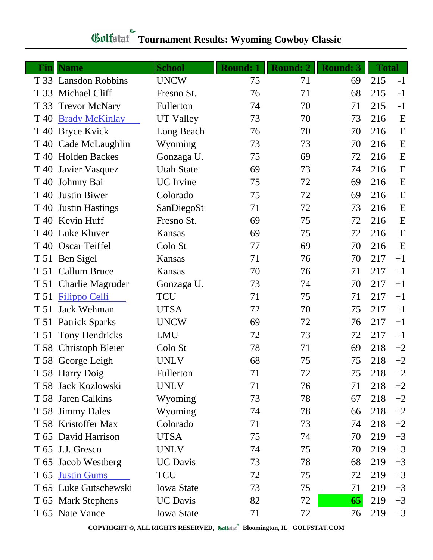| Finl | <b>Name</b>             | <b>School</b>     | <b>Round: 1</b> | <b>Round: 2</b> | <b>Round: 3</b> | <b>Total</b> |      |
|------|-------------------------|-------------------|-----------------|-----------------|-----------------|--------------|------|
|      | T 33 Lansdon Robbins    | <b>UNCW</b>       | 75              | 71              | 69              | 215          | $-1$ |
|      | T 33 Michael Cliff      | Fresno St.        | 76              | 71              | 68              | 215          | $-1$ |
| T 33 | <b>Trevor McNary</b>    | Fullerton         | 74              | 70              | 71              | 215          | $-1$ |
| T 40 | <b>Brady McKinlay</b>   | <b>UT Valley</b>  | 73              | 70              | 73              | 216          | E    |
|      | T 40 Bryce Kvick        | Long Beach        | 76              | 70              | 70              | 216          | E    |
|      | T 40 Cade McLaughlin    | Wyoming           | 73              | 73              | 70              | 216          | E    |
|      | T 40 Holden Backes      | Gonzaga U.        | 75              | 69              | 72              | 216          | E    |
| T 40 | Javier Vasquez          | <b>Utah State</b> | 69              | 73              | 74              | 216          | E    |
| T 40 | Johnny Bai              | <b>UC</b> Irvine  | 75              | 72              | 69              | 216          | E    |
| T 40 | <b>Justin Biwer</b>     | Colorado          | 75              | 72              | 69              | 216          | E    |
| T 40 | <b>Justin Hastings</b>  | SanDiegoSt        | 71              | 72              | 73              | 216          | E    |
|      | T 40 Kevin Huff         | Fresno St.        | 69              | 75              | 72              | 216          | E    |
|      | T 40 Luke Kluver        | Kansas            | 69              | 75              | 72              | 216          | E    |
|      | T 40 Oscar Teiffel      | Colo St           | 77              | 69              | 70              | 216          | E    |
|      | T 51 Ben Sigel          | Kansas            | 71              | 76              | 70              | 217          | $+1$ |
|      | T 51 Callum Bruce       | Kansas            | 70              | 76              | 71              | 217          | $+1$ |
| T 51 | <b>Charlie Magruder</b> | Gonzaga U.        | 73              | 74              | 70              | 217          | $+1$ |
| T 51 | <b>Filippo Celli</b>    | <b>TCU</b>        | 71              | 75              | 71              | 217          | $+1$ |
| T 51 | <b>Jack Wehman</b>      | <b>UTSA</b>       | 72              | 70              | 75              | 217          | $+1$ |
|      | T 51 Patrick Sparks     | <b>UNCW</b>       | 69              | 72              | 76              | 217          | $+1$ |
|      | T 51 Tony Hendricks     | <b>LMU</b>        | 72              | 73              | 72              | 217          | $+1$ |
|      | T 58 Christoph Bleier   | Colo St           | 78              | 71              | 69              | 218          | $+2$ |
|      | T 58 George Leigh       | <b>UNLV</b>       | 68              | 75              | 75              | 218          | $+2$ |
|      | T 58 Harry Doig         | Fullerton         | 71              | 72              | 75              | 218          | $+2$ |
|      | T 58 Jack Kozlowski     | <b>UNLV</b>       | 71              | 76              | 71              | 218          | $+2$ |
|      | T 58 Jaren Calkins      | Wyoming           | 73              | 78              | 67              | 218          | $+2$ |
|      | T 58 Jimmy Dales        | Wyoming           | 74              | 78              | 66              | 218          | $+2$ |
|      | T 58 Kristoffer Max     | Colorado          | 71              | 73              | 74              | 218          | $+2$ |
|      | T 65 David Harrison     | <b>UTSA</b>       | 75              | 74              | 70              | 219          | $+3$ |
|      | T 65 J.J. Gresco        | <b>UNLV</b>       | 74              | 75              | 70              | 219          | $+3$ |
|      | T 65 Jacob Westberg     | <b>UC</b> Davis   | 73              | 78              | 68              | 219          | $+3$ |
| T 65 | <b>Justin Gums</b>      | <b>TCU</b>        | 72              | 75              | 72              | 219          | $+3$ |
|      | T 65 Luke Gutschewski   | <b>Iowa State</b> | 73              | 75              | 71              | 219          | $+3$ |
|      | T 65 Mark Stephens      | <b>UC</b> Davis   | 82              | 72              | 65              | 219          | $+3$ |
|      | T 65 Nate Vance         | <b>Iowa State</b> | 71              | 72              | 76              | 219          | $+3$ |

## **Gulfatat** Tournament Results: Wyoming Cowboy Classic

**COPYRIGHT ©, ALL RIGHTS RESERVED, Bloomington, IL GOLFSTAT.COM**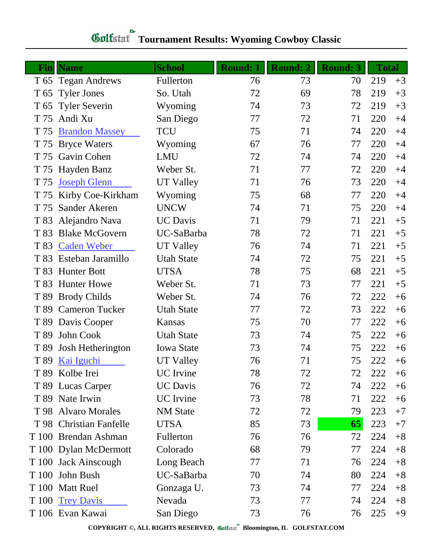## **Tournament Results: Wyoming Cowboy Classic**

| Fin             | <b>Name</b>             | <b>School</b>     | <b>Round: 1</b> | <b>Round: 2</b> | <b>Round: 3</b> | <b>Total</b> |      |
|-----------------|-------------------------|-------------------|-----------------|-----------------|-----------------|--------------|------|
|                 | T 65 Tegan Andrews      | Fullerton         | 76              | 73              | 70              | 219          | $+3$ |
| T <sub>65</sub> | <b>Tyler Jones</b>      | So. Utah          | 72              | 69              | 78              | 219          | $+3$ |
| T 65            | <b>Tyler Severin</b>    | Wyoming           | 74              | 73              | 72              | 219          | $+3$ |
| T 75            | Andi Xu                 | San Diego         | 77              | 72              | 71              | 220          | $+4$ |
| T 75            | <b>Brandon Massey</b>   | <b>TCU</b>        | 75              | 71              | 74              | 220          | $+4$ |
|                 | T 75 Bryce Waters       | Wyoming           | 67              | 76              | 77              | 220          | $+4$ |
|                 | T 75 Gavin Cohen        | <b>LMU</b>        | 72              | 74              | 74              | 220          | $+4$ |
| T 75            | Hayden Banz             | Weber St.         | 71              | 77              | 72              | 220          | $+4$ |
| T 75            | <b>Joseph Glenn</b>     | UT Valley         | 71              | 76              | 73              | 220          | $+4$ |
| T 75            | Kirby Coe-Kirkham       | Wyoming           | 75              | 68              | 77              | 220          | $+4$ |
| T 75            | Sander Akeren           | <b>UNCW</b>       | 74              | 71              | 75              | 220          | $+4$ |
| T 83            | Alejandro Nava          | <b>UC</b> Davis   | 71              | 79              | 71              | 221          | $+5$ |
| T 83            | <b>Blake McGovern</b>   | UC-SaBarba        | 78              | 72              | 71              | 221          | $+5$ |
| T 83            | <b>Caden Weber</b>      | <b>UT Valley</b>  | 76              | 74              | 71              | 221          | $+5$ |
| T 83            | Esteban Jaramillo       | <b>Utah State</b> | 74              | 72              | 75              | 221          | $+5$ |
| T 83            | <b>Hunter Bott</b>      | <b>UTSA</b>       | 78              | 75              | 68              | 221          | $+5$ |
|                 | T 83 Hunter Howe        | Weber St.         | 71              | 73              | 77              | 221          | $+5$ |
| T 89            | <b>Brody Childs</b>     | Weber St.         | 74              | 76              | 72              | 222          | $+6$ |
| T 89            | <b>Cameron Tucker</b>   | <b>Utah State</b> | 77              | 72              | 73              | 222          | $+6$ |
| T 89            | Davis Cooper            | Kansas            | 75              | 70              | 77              | 222          | $+6$ |
| T 89            | John Cook               | <b>Utah State</b> | 73              | 74              | 75              | 222          | $+6$ |
| T 89            | Josh Hetherington       | <b>Iowa State</b> | 73              | 74              | 75              | 222          | $+6$ |
| T 89            | Kai Iguchi              | UT Valley         | 76              | 71              | 75              | 222          | $+6$ |
|                 | T 89 Kolbe Irei         | UC Irvine         | 78              | 72              | 72              | 222          | $+6$ |
|                 | T 89 Lucas Carper       | <b>UC</b> Davis   | 76              | 72              | 74              | 222          | $+6$ |
|                 | T 89 Nate Irwin         | <b>UC</b> Irvine  | 73              | 78              | 71              | 222          | $+6$ |
|                 | T 98 Alvaro Morales     | <b>NM</b> State   | 72              | 72              | 79              | 223          | $+7$ |
|                 | T 98 Christian Fanfelle | <b>UTSA</b>       | 85              | 73              | 65              | 223          | $+7$ |
|                 | T 100 Brendan Ashman    | Fullerton         | 76              | 76              | 72              | 224          | $+8$ |
|                 | T 100 Dylan McDermott   | Colorado          | 68              | 79              | 77              | 224          | $+8$ |
|                 | T 100 Jack Ainscough    | Long Beach        | 77              | 71              | 76              | 224          | $+8$ |
|                 | T 100 John Bush         | UC-SaBarba        | 70              | 74              | 80              | 224          | $+8$ |
|                 | T 100 Matt Ruel         | Gonzaga U.        | 73              | 74              | 77              | 224          | $+8$ |
|                 | T 100 Trey Davis        | Nevada            | 73              | 77              | 74              | 224          | $+8$ |
|                 | T 106 Evan Kawai        | San Diego         | 73              | 76              | 76              | 225          | $+9$ |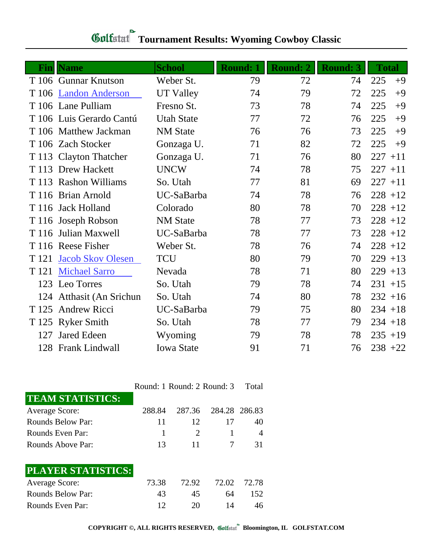| Fin | <b>Name</b>              | <b>School</b>     | <b>Round: 1</b> | <b>Round: 2</b> | <b>Round: 3</b> | <b>Total</b> |
|-----|--------------------------|-------------------|-----------------|-----------------|-----------------|--------------|
|     | T 106 Gunnar Knutson     | Weber St.         | 79              | 72              | 74              | 225<br>$+9$  |
|     | T 106 Landon Anderson    | <b>UT Valley</b>  | 74              | 79              | 72              | 225<br>$+9$  |
|     | T 106 Lane Pulliam       | Fresno St.        | 73              | 78              | 74              | 225<br>$+9$  |
|     | T 106 Luis Gerardo Cantú | <b>Utah State</b> | 77              | 72              | 76              | 225<br>$+9$  |
|     | T 106 Matthew Jackman    | <b>NM</b> State   | 76              | 76              | 73              | 225<br>$+9$  |
|     | T 106 Zach Stocker       | Gonzaga U.        | 71              | 82              | 72              | 225<br>$+9$  |
|     | T 113 Clayton Thatcher   | Gonzaga U.        | 71              | 76              | 80              | 227<br>$+11$ |
|     | T 113 Drew Hackett       | <b>UNCW</b>       | 74              | 78              | 75              | $227 + 11$   |
|     | T 113 Rashon Williams    | So. Utah          | 77              | 81              | 69              | $227 + 11$   |
|     | T 116 Brian Arnold       | UC-SaBarba        | 74              | 78              | 76              | $228 + 12$   |
|     | T 116 Jack Holland       | Colorado          | 80              | 78              | 70              | $228 + 12$   |
|     | T 116 Joseph Robson      | <b>NM</b> State   | 78              | 77              | 73              | $228 + 12$   |
|     | T 116 Julian Maxwell     | UC-SaBarba        | 78              | 77              | 73              | $228 + 12$   |
|     | T 116 Reese Fisher       | Weber St.         | 78              | 76              | 74              | $228 + 12$   |
|     | T 121 Jacob Skov Olesen  | <b>TCU</b>        | 80              | 79              | 70              | $229 + 13$   |
|     | T 121 Michael Sarro      | Nevada            | 78              | 71              | 80              | $229 + 13$   |
|     | 123 Leo Torres           | So. Utah          | 79              | 78              | 74              | $231 + 15$   |
|     | 124 Atthasit (An Srichun | So. Utah          | 74              | 80              | 78              | $232 + 16$   |
|     | T 125 Andrew Ricci       | UC-SaBarba        | 79              | 75              | 80              | $234 + 18$   |
|     | T 125 Ryker Smith        | So. Utah          | 78              | 77              | 79              | $234 + 18$   |
| 127 | <b>Jared Edeen</b>       | Wyoming           | 79              | 78              | 78              | $235 + 19$   |
|     | 128 Frank Lindwall       | <b>Iowa State</b> | 91              | 71              | 76              | $238 + 22$   |

## **Tournament Results: Wyoming Cowboy Classic**

|                         |        |        | Round: 1 Round: 2 Round: 3 | Total |
|-------------------------|--------|--------|----------------------------|-------|
| <b>TEAM STATISTICS:</b> |        |        |                            |       |
| <b>Average Score:</b>   | 288.84 | 287.36 | 284.28 286.83              |       |
| Rounds Below Par:       | 11     | 12     | 17                         | 40    |
| Rounds Even Par:        |        | 2      |                            | 4     |
| Rounds Above Par:       | 13     | 11     |                            | 31    |
| PLAYER STATISTICS:      |        |        |                            |       |
| <b>Average Score:</b>   | 73.38  | 72.92  | 72.02                      | 72.78 |
| Rounds Below Par:       | 43     | 45     | 64                         | 152   |
| Rounds Even Par:        | 12     | 20     | 14                         | 46    |